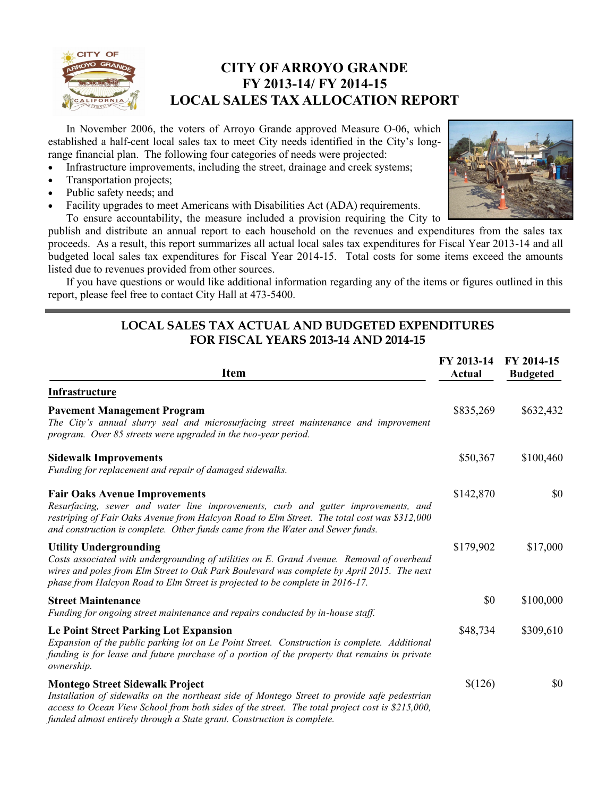

# **CITY OF ARROYO GRANDE FY 2013-14/ FY 2014-15 LOCAL SALES TAX ALLOCATION REPORT**

In November 2006, the voters of Arroyo Grande approved Measure O-06, which established a half-cent local sales tax to meet City needs identified in the City's longrange financial plan. The following four categories of needs were projected:

- Infrastructure improvements, including the street, drainage and creek systems;
- Transportation projects;
- Public safety needs; and
- Facility upgrades to meet Americans with Disabilities Act (ADA) requirements.



To ensure accountability, the measure included a provision requiring the City to publish and distribute an annual report to each household on the revenues and expenditures from the sales tax proceeds. As a result, this report summarizes all actual local sales tax expenditures for Fiscal Year 2013-14 and all budgeted local sales tax expenditures for Fiscal Year 2014-15. Total costs for some items exceed the amounts listed due to revenues provided from other sources.

If you have questions or would like additional information regarding any of the items or figures outlined in this report, please feel free to contact City Hall at 473-5400.

### **LOCAL SALES TAX ACTUAL AND BUDGETED EXPENDITURES FOR FISCAL YEARS 2013-14 AND 2014-15**

| <b>Item</b>                                                                                                                                                                                                                                                                                                          | FY 2013-14<br>Actual | FY 2014-15<br><b>Budgeted</b> |
|----------------------------------------------------------------------------------------------------------------------------------------------------------------------------------------------------------------------------------------------------------------------------------------------------------------------|----------------------|-------------------------------|
| Infrastructure                                                                                                                                                                                                                                                                                                       |                      |                               |
| <b>Pavement Management Program</b><br>The City's annual slurry seal and microsurfacing street maintenance and improvement<br>program. Over 85 streets were upgraded in the two-year period.                                                                                                                          | \$835,269            | \$632,432                     |
| <b>Sidewalk Improvements</b><br>Funding for replacement and repair of damaged sidewalks.                                                                                                                                                                                                                             | \$50,367             | \$100,460                     |
| <b>Fair Oaks Avenue Improvements</b><br>Resurfacing, sewer and water line improvements, curb and gutter improvements, and<br>restriping of Fair Oaks Avenue from Halcyon Road to Elm Street. The total cost was \$312,000<br>and construction is complete. Other funds came from the Water and Sewer funds.          | \$142,870            | \$0                           |
| <b>Utility Undergrounding</b><br>Costs associated with undergrounding of utilities on E. Grand Avenue. Removal of overhead<br>wires and poles from Elm Street to Oak Park Boulevard was complete by April 2015. The next<br>phase from Halcyon Road to Elm Street is projected to be complete in 2016-17.            | \$179,902            | \$17,000                      |
| <b>Street Maintenance</b><br>Funding for ongoing street maintenance and repairs conducted by in-house staff.                                                                                                                                                                                                         | \$0                  | \$100,000                     |
| <b>Le Point Street Parking Lot Expansion</b><br>Expansion of the public parking lot on Le Point Street. Construction is complete. Additional<br>funding is for lease and future purchase of a portion of the property that remains in private<br>ownership.                                                          | \$48,734             | \$309,610                     |
| <b>Montego Street Sidewalk Project</b><br>Installation of sidewalks on the northeast side of Montego Street to provide safe pedestrian<br>access to Ocean View School from both sides of the street. The total project cost is \$215,000,<br>funded almost entirely through a State grant. Construction is complete. | \$(126)              | \$0                           |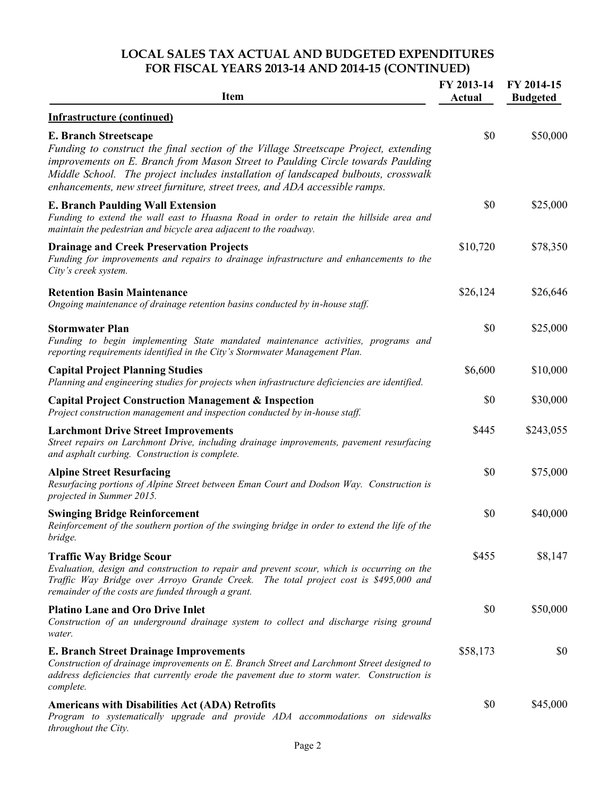## **LOCAL SALES TAX ACTUAL AND BUDGETED EXPENDITURES FOR FISCAL YEARS 2013-14 AND 2014-15 (CONTINUED)**

| <b>Item</b>                                                                                                                                                                                                                                                                                                                                                                  | FY 2013-14<br><b>Actual</b> | FY 2014-15<br><b>Budgeted</b> |
|------------------------------------------------------------------------------------------------------------------------------------------------------------------------------------------------------------------------------------------------------------------------------------------------------------------------------------------------------------------------------|-----------------------------|-------------------------------|
| <b>Infrastructure (continued)</b>                                                                                                                                                                                                                                                                                                                                            |                             |                               |
| <b>E. Branch Streetscape</b><br>Funding to construct the final section of the Village Streetscape Project, extending<br>improvements on E. Branch from Mason Street to Paulding Circle towards Paulding<br>Middle School. The project includes installation of landscaped bulbouts, crosswalk<br>enhancements, new street furniture, street trees, and ADA accessible ramps. | \$0                         | \$50,000                      |
| <b>E. Branch Paulding Wall Extension</b><br>Funding to extend the wall east to Huasna Road in order to retain the hillside area and<br>maintain the pedestrian and bicycle area adjacent to the roadway.                                                                                                                                                                     | \$0                         | \$25,000                      |
| <b>Drainage and Creek Preservation Projects</b><br>Funding for improvements and repairs to drainage infrastructure and enhancements to the<br>City's creek system.                                                                                                                                                                                                           | \$10,720                    | \$78,350                      |
| <b>Retention Basin Maintenance</b><br>Ongoing maintenance of drainage retention basins conducted by in-house staff.                                                                                                                                                                                                                                                          | \$26,124                    | \$26,646                      |
| <b>Stormwater Plan</b><br>Funding to begin implementing State mandated maintenance activities, programs and<br>reporting requirements identified in the City's Stormwater Management Plan.                                                                                                                                                                                   | \$0                         | \$25,000                      |
| <b>Capital Project Planning Studies</b><br>Planning and engineering studies for projects when infrastructure deficiencies are identified.                                                                                                                                                                                                                                    | \$6,600                     | \$10,000                      |
| <b>Capital Project Construction Management &amp; Inspection</b><br>Project construction management and inspection conducted by in-house staff.                                                                                                                                                                                                                               | \$0                         | \$30,000                      |
| <b>Larchmont Drive Street Improvements</b><br>Street repairs on Larchmont Drive, including drainage improvements, pavement resurfacing<br>and asphalt curbing. Construction is complete.                                                                                                                                                                                     | \$445                       | \$243,055                     |
| <b>Alpine Street Resurfacing</b><br>Resurfacing portions of Alpine Street between Eman Court and Dodson Way. Construction is<br>projected in Summer 2015.                                                                                                                                                                                                                    | \$0                         | \$75,000                      |
| <b>Swinging Bridge Reinforcement</b><br>Reinforcement of the southern portion of the swinging bridge in order to extend the life of the<br>bridge.                                                                                                                                                                                                                           | \$0                         | \$40,000                      |
| <b>Traffic Way Bridge Scour</b><br>Evaluation, design and construction to repair and prevent scour, which is occurring on the<br>Traffic Way Bridge over Arroyo Grande Creek. The total project cost is \$495,000 and<br>remainder of the costs are funded through a grant.                                                                                                  | \$455                       | \$8,147                       |
| <b>Platino Lane and Oro Drive Inlet</b><br>Construction of an underground drainage system to collect and discharge rising ground<br>water.                                                                                                                                                                                                                                   | \$0                         | \$50,000                      |
| <b>E. Branch Street Drainage Improvements</b><br>Construction of drainage improvements on E. Branch Street and Larchmont Street designed to<br>address deficiencies that currently erode the pavement due to storm water. Construction is<br>complete.                                                                                                                       | \$58,173                    | \$0                           |
| <b>Americans with Disabilities Act (ADA) Retrofits</b><br>Program to systematically upgrade and provide ADA accommodations on sidewalks<br>throughout the City.                                                                                                                                                                                                              | \$0                         | \$45,000                      |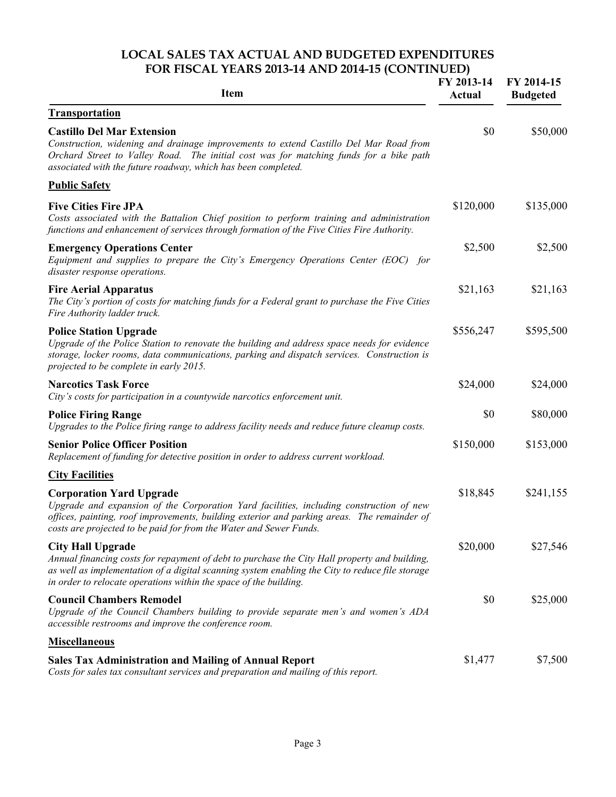#### **LOCAL SALES TAX ACTUAL AND BUDGETED EXPENDITURES FOR FISCAL YEARS 2013-14 AND 2014-15 (CONTINUED)**

| <b>Item</b>                                                                                                                                                                                                                                                                                       | FY 2013-14<br><b>Actual</b> | FY 2014-15<br><b>Budgeted</b> |
|---------------------------------------------------------------------------------------------------------------------------------------------------------------------------------------------------------------------------------------------------------------------------------------------------|-----------------------------|-------------------------------|
| <b>Transportation</b>                                                                                                                                                                                                                                                                             |                             |                               |
| <b>Castillo Del Mar Extension</b><br>Construction, widening and drainage improvements to extend Castillo Del Mar Road from<br>Orchard Street to Valley Road. The initial cost was for matching funds for a bike path<br>associated with the future roadway, which has been completed.             | \$0                         | \$50,000                      |
| <b>Public Safety</b>                                                                                                                                                                                                                                                                              |                             |                               |
| <b>Five Cities Fire JPA</b><br>Costs associated with the Battalion Chief position to perform training and administration<br>functions and enhancement of services through formation of the Five Cities Fire Authority.                                                                            | \$120,000                   | \$135,000                     |
| <b>Emergency Operations Center</b><br>Equipment and supplies to prepare the City's Emergency Operations Center (EOC) for<br>disaster response operations.                                                                                                                                         | \$2,500                     | \$2,500                       |
| <b>Fire Aerial Apparatus</b><br>The City's portion of costs for matching funds for a Federal grant to purchase the Five Cities<br>Fire Authority ladder truck.                                                                                                                                    | \$21,163                    | \$21,163                      |
| <b>Police Station Upgrade</b><br>Upgrade of the Police Station to renovate the building and address space needs for evidence<br>storage, locker rooms, data communications, parking and dispatch services. Construction is<br>projected to be complete in early 2015.                             | \$556,247                   | \$595,500                     |
| <b>Narcotics Task Force</b><br>City's costs for participation in a countywide narcotics enforcement unit.                                                                                                                                                                                         | \$24,000                    | \$24,000                      |
| <b>Police Firing Range</b><br>Upgrades to the Police firing range to address facility needs and reduce future cleanup costs.                                                                                                                                                                      | \$0                         | \$80,000                      |
| <b>Senior Police Officer Position</b><br>Replacement of funding for detective position in order to address current workload.                                                                                                                                                                      | \$150,000                   | \$153,000                     |
| <b>City Facilities</b>                                                                                                                                                                                                                                                                            |                             |                               |
| <b>Corporation Yard Upgrade</b><br>Upgrade and expansion of the Corporation Yard facilities, including construction of new<br>offices, painting, roof improvements, building exterior and parking areas. The remainder of<br>costs are projected to be paid for from the Water and Sewer Funds.   | \$18,845                    | \$241,155                     |
| <b>City Hall Upgrade</b><br>Annual financing costs for repayment of debt to purchase the City Hall property and building,<br>as well as implementation of a digital scanning system enabling the City to reduce file storage<br>in order to relocate operations within the space of the building. | \$20,000                    | \$27,546                      |
| <b>Council Chambers Remodel</b><br>Upgrade of the Council Chambers building to provide separate men's and women's ADA<br>accessible restrooms and improve the conference room.                                                                                                                    | \$0                         | \$25,000                      |
| <b>Miscellaneous</b>                                                                                                                                                                                                                                                                              |                             |                               |
| <b>Sales Tax Administration and Mailing of Annual Report</b><br>Costs for sales tax consultant services and preparation and mailing of this report.                                                                                                                                               | \$1,477                     | \$7,500                       |